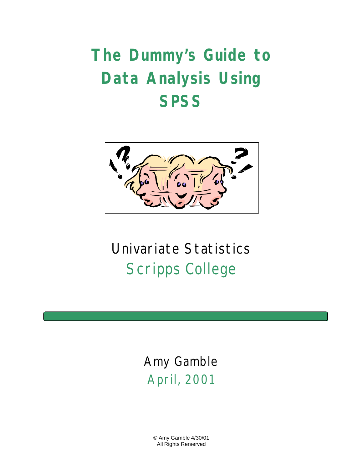# **The Dummy's Guide to Data Analysis Using SPSS**



## Univariate Statistics Scripps College

Amy Gamble April, 2001

> © Amy Gamble 4/30/01 All Rights Rerserved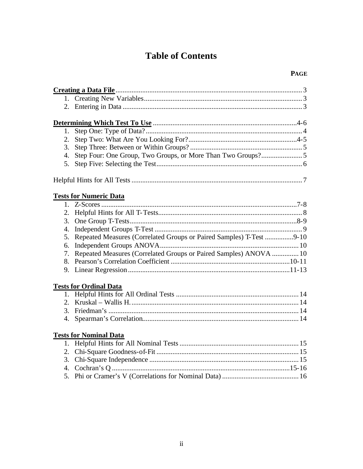## **Table of Contents**

#### **PAGE**

| 1. |                                                                     |  |
|----|---------------------------------------------------------------------|--|
| 2. |                                                                     |  |
| 3. |                                                                     |  |
|    |                                                                     |  |
|    |                                                                     |  |
|    |                                                                     |  |
|    | <b>Tests for Numeric Data</b>                                       |  |
|    |                                                                     |  |
|    |                                                                     |  |
|    |                                                                     |  |
| 4. |                                                                     |  |
| 5. | Repeated Measures (Correlated Groups or Paired Samples) T-Test 9-10 |  |
| 6. |                                                                     |  |
| 7. | Repeated Measures (Correlated Groups or Paired Samples) ANOVA  10   |  |
|    |                                                                     |  |
|    |                                                                     |  |
|    | <b>Tests for Ordinal Data</b>                                       |  |
|    |                                                                     |  |
|    |                                                                     |  |
|    |                                                                     |  |
|    |                                                                     |  |
|    | <b>Tests for Nominal Data</b>                                       |  |
|    |                                                                     |  |
| 2. |                                                                     |  |
|    |                                                                     |  |
|    |                                                                     |  |
|    |                                                                     |  |
|    |                                                                     |  |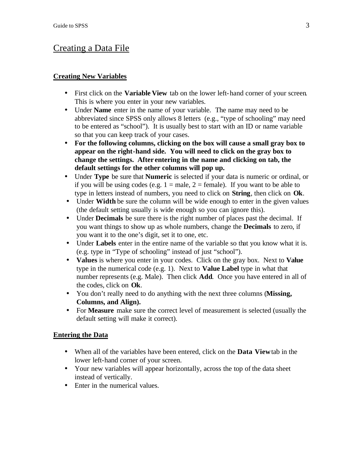### Creating a Data File

#### **Creating New Variables**

- First click on the **Variable View** tab on the lower left-hand corner of your screen. This is where you enter in your new variables.
- Under **Name** enter in the name of your variable. The name may need to be abbreviated since SPSS only allows 8 letters (e.g., "type of schooling" may need to be entered as "school"). It is usually best to start with an ID or name variable so that you can keep track of your cases.
- **For the following columns, clicking on the box will cause a small gray box to appear on the right-hand side. You will need to click on the gray box to change the settings. After entering in the name and clicking on tab, the default settings for the other columns will pop up.**
- Under **Type** be sure that **Numeric** is selected if your data is numeric or ordinal, or if you will be using codes (e.g.  $1 =$  male,  $2 =$  female). If you want to be able to type in letters instead of numbers, you need to click on **String**, then click on **Ok**.
- Under **Width** be sure the column will be wide enough to enter in the given values (the default setting usually is wide enough so you can ignore this).
- Under **Decimals** be sure there is the right number of places past the decimal. If you want things to show up as whole numbers, change the **Decimals** to zero, if you want it to the one's digit, set it to one, etc.
- Under **Labels** enter in the entire name of the variable so that you know what it is. (e.g. type in "Type of schooling" instead of just "school").
- **Values** is where you enter in your codes. Click on the gray box. Next to **Value** type in the numerical code (e.g. 1). Next to **Value Label** type in what that number represents (e.g. Male). Then click **Add**. Once you have entered in all of the codes, click on **Ok**.
- You don't really need to do anything with the next three columns (**Missing, Columns, and Align).**
- For **Measure** make sure the correct level of measurement is selected (usually the default setting will make it correct).

#### **Entering the Data**

- When all of the variables have been entered, click on the **Data View** tab in the lower left-hand corner of your screen.
- Your new variables will appear horizontally, across the top of the data sheet instead of vertically.
- Enter in the numerical values.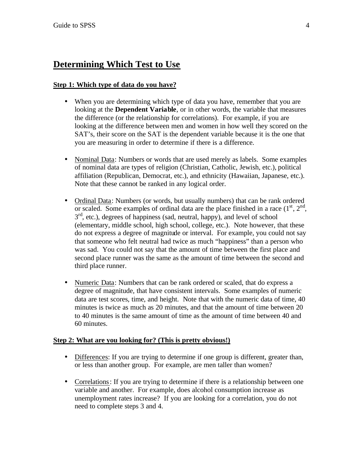## **Determining Which Test to Use**

#### **Step 1: Which type of data do you have?**

- When you are determining which type of data you have, remember that you are looking at the **Dependent Variable**, or in other words, the variable that measures the difference (or the relationship for correlations). For example, if you are looking at the difference between men and women in how well they scored on the SAT's, their score on the SAT is the dependent variable because it is the one that you are measuring in order to determine if there is a difference.
- Nominal Data: Numbers or words that are used merely as labels. Some examples of nominal data are types of religion (Christian, Catholic, Jewish, etc.), political affiliation (Republican, Democrat, etc.), and ethnicity (Hawaiian, Japanese, etc.). Note that these cannot be ranked in any logical order.
- Ordinal Data: Numbers (or words, but usually numbers) that can be rank ordered or scaled. Some examples of ordinal data are the place finished in a race  $(1<sup>st</sup>, 2<sup>nd</sup>)$ , 3<sup>rd</sup>, etc.), degrees of happiness (sad, neutral, happy), and level of school (elementary, middle school, high school, college, etc.). Note however, that these do not express a degree of magnitude or interval. For example, you could not say that someone who felt neutral had twice as much "happiness" than a person who was sad. You could not say that the amount of time between the first place and second place runner was the same as the amount of time between the second and third place runner.
- Numeric Data: Numbers that can be rank ordered or scaled, that do express a degree of magnitude, that have consistent intervals. Some examples of numeric data are test scores, time, and height. Note that with the numeric data of time, 40 minutes is twice as much as 20 minutes, and that the amount of time between 20 to 40 minutes is the same amount of time as the amount of time between 40 and 60 minutes.

#### **Step 2: What are you looking for? (This is pretty obvious!)**

- Differences: If you are trying to determine if one group is different, greater than, or less than another group. For example, are men taller than women?
- Correlations: If you are trying to determine if there is a relationship between one variable and another. For example, does alcohol consumption increase as unemployment rates increase? If you are looking for a correlation, you do not need to complete steps 3 and 4.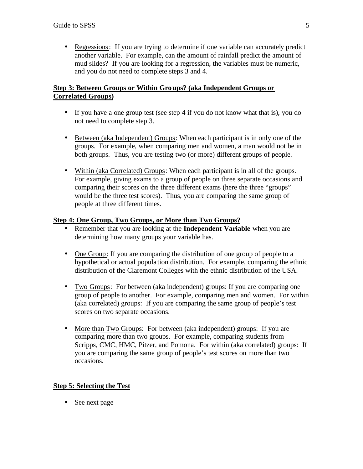• Regressions: If you are trying to determine if one variable can accurately predict another variable. For example, can the amount of rainfall predict the amount of mud slides? If you are looking for a regression, the variables must be numeric, and you do not need to complete steps 3 and 4.

#### **Step 3: Between Groups or Within Groups? (aka Independent Groups or Correlated Groups)**

- If you have a one group test (see step 4 if you do not know what that is), you do not need to complete step 3.
- Between (aka Independent) Groups: When each participant is in only one of the groups. For example, when comparing men and women, a man would not be in both groups. Thus, you are testing two (or more) different groups of people.
- Within (aka Correlated) Groups: When each participant is in all of the groups. For example, giving exams to a group of people on three separate occasions and comparing their scores on the three different exams (here the three "groups" would be the three test scores). Thus, you are comparing the same group of people at three different times.

#### **Step 4: One Group, Two Groups, or More than Two Groups?**

- Remember that you are looking at the **Independent Variable** when you are determining how many groups your variable has.
- One Group: If you are comparing the distribution of one group of people to a hypothetical or actual popula tion distribution. For example, comparing the ethnic distribution of the Claremont Colleges with the ethnic distribution of the USA.
- Two Groups: For between (aka independent) groups: If you are comparing one group of people to another. For example, comparing men and women. For within (aka correlated) groups: If you are comparing the same group of people's test scores on two separate occasions.
- More than Two Groups: For between (aka independent) groups: If you are comparing more than two groups. For example, comparing students from Scripps, CMC, HMC, Pitzer, and Pomona. For within (aka correlated) groups: If you are comparing the same group of people's test scores on more than two occasions.

#### **Step 5: Selecting the Test**

• See next page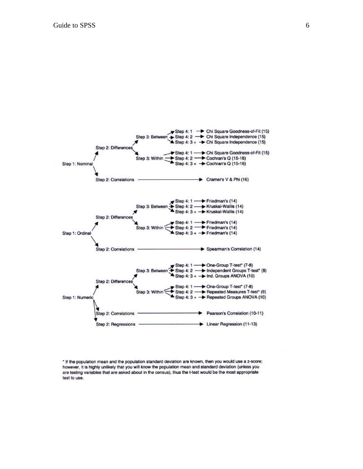

\* If the population mean and the population standard deviation are known, then you would use a z-score; however, it is highly unlikely that you will know the population mean and standard deviation (unless you are testing variables that are asked about in the census), thus the t-test would be the most appropriate test to use.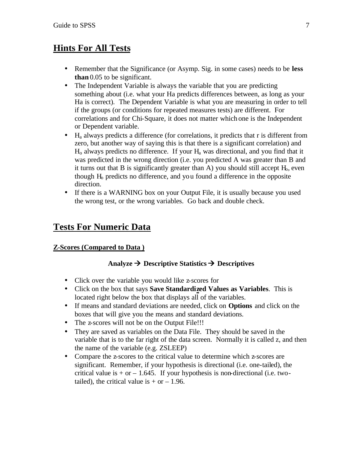## **Hints For All Tests**

- Remember that the Significance (or Asymp. Sig. in some cases) needs to be **less than** 0.05 to be significant.
- The Independent Variable is always the variable that you are predicting something about (i.e. what your Ha predicts differences between, as long as your Ha is correct). The Dependent Variable is what you are measuring in order to tell if the groups (or conditions for repeated measures tests) are different. For correlations and for Chi-Square, it does not matter which one is the Independent or Dependent variable.
- $H_a$  always predicts a difference (for correlations, it predicts that r is different from zero, but another way of saying this is that there is a significant correlation) and  $H<sub>o</sub>$  always predicts no difference. If your  $H<sub>a</sub>$  was directional, and you find that it was predicted in the wrong direction (i.e. you predicted A was greater than B and it turns out that B is significantly greater than A) you should still accept  $H_0$ , even though  $H_0$  predicts no difference, and you found a difference in the opposite direction.
- If there is a WARNING box on your Output File, it is usually because you used the wrong test, or the wrong variables. Go back and double check.

## **Tests For Numeric Data**

#### **Z-Scores (Compared to Data )**

#### **Analyze ‡ Descriptive Statistics ‡ Descriptives**

- Click over the variable you would like z-scores for
- Click on the box that says **Save Standardized Values as Variables**. This is located right below the box that displays all of the variables.
- If means and standard deviations are needed, click on **Options** and click on the boxes that will give you the means and standard deviations.
- The z-scores will not be on the Output File!!!
- They are saved as variables on the Data File. They should be saved in the variable that is to the far right of the data screen. Normally it is called z, and then the name of the variable (e.g. ZSLEEP)
- Compare the z-scores to the critical value to determine which z-scores are significant. Remember, if your hypothesis is directional (i.e. one-tailed), the critical value is  $+$  or  $-$  1.645. If your hypothesis is non-directional (i.e. twotailed), the critical value is  $+$  or  $-$  1.96.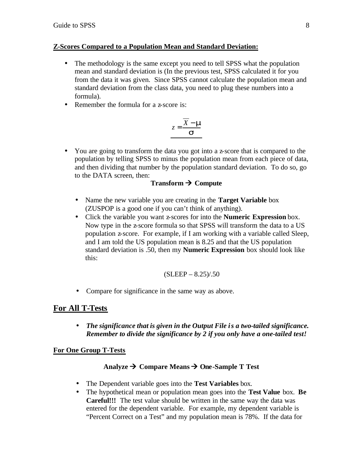#### **Z-Scores Compared to a Population Mean and Standard Deviation:**

- The methodology is the same except you need to tell SPSS what the population mean and standard deviation is (In the previous test, SPSS calculated it for you from the data it was given. Since SPSS cannot calculate the population mean and standard deviation from the class data, you need to plug these numbers into a formula).
- Remember the formula for a z-score is:

$$
z = \frac{\overline{X} - \mathbf{m}}{\mathbf{S}}
$$

• You are going to transform the data you got into a z-score that is compared to the population by telling SPSS to minus the population mean from each piece of data, and then dividing that number by the population standard deviation. To do so, go to the DATA screen, then:

#### **Transform ‡ Compute**

- Name the new variable you are creating in the **Target Variable** box (ZUSPOP is a good one if you can't think of anything).
- Click the variable you want z-scores for into the **Numeric Expression** box. Now type in the z-score formula so that SPSS will transform the data to a US population z-score. For example, if I am working with a variable called Sleep, and I am told the US population mean is 8.25 and that the US population standard deviation is .50, then my **Numeric Expression** box should look like this:

$$
(SLEEP - 8.25)/.50
$$

• Compare for significance in the same way as above.

#### **For All T-Tests**

• *The significance that is given in the Output File is a two-tailed significance. Remember to divide the significance by 2 if you only have a one-tailed test!*

#### **For One Group T-Tests**

#### Analyze  $\rightarrow$  Compare Means  $\rightarrow$  One-Sample T Test

- The Dependent variable goes into the **Test Variables** box.
- The hypothetical mean or population mean goes into the **Test Value** box. **Be Careful!!!** The test value should be written in the same way the data was entered for the dependent variable. For example, my dependent variable is "Percent Correct on a Test" and my population mean is 78%. If the data for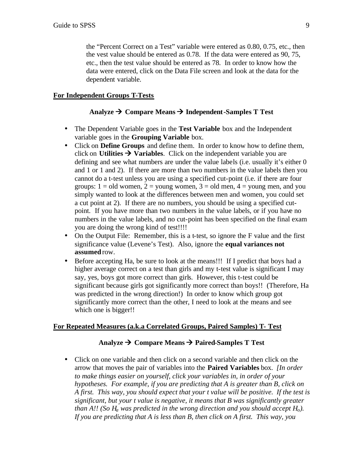the "Percent Correct on a Test" variable were entered as 0.80, 0.75, etc., then the vest value should be entered as 0.78. If the data were entered as 90, 75, etc., then the test value should be entered as 78. In order to know how the data were entered, click on the Data File screen and look at the data for the dependent variable.

#### **For Independent Groups T-Tests**

#### **Analyze ‡ Compare Means ‡ Independent-Samples T Test**

- The Dependent Variable goes in the **Test Variable** box and the Independent variable goes in the **Grouping Variable** box.
- Click on **Define Groups** and define them. In order to know how to define them, click on **Utilities**  $\rightarrow$  **Variables**. Click on the independent variable you are defining and see what numbers are under the value labels (i.e. usually it's either 0 and 1 or 1 and 2). If there are more than two numbers in the value labels then you cannot do a t-test unless you are using a specified cut-point (i.e. if there are four groups:  $1 = old$  women,  $2 = \text{young women}, 3 = old$  men,  $4 = \text{young men},$  and you simply wanted to look at the differences between men and women, you could set a cut point at 2). If there are no numbers, you should be using a specified cutpoint. If you have more than two numbers in the value labels, or if you have no numbers in the value labels, and no cut-point has been specified on the final exam you are doing the wrong kind of test!!!!
- On the Output File: Remember, this is a t-test, so ignore the F value and the first significance value (Levene's Test). Also, ignore the **equal variances not assumed** row.
- Before accepting Ha, be sure to look at the means!!! If I predict that boys had a higher average correct on a test than girls and my t-test value is significant I may say, yes, boys got more correct than girls. However, this t-test could be significant because girls got significantly more correct than boys!! (Therefore, Ha was predicted in the wrong direction!) In order to know which group got significantly more correct than the other, I need to look at the means and see which one is bigger!!

#### **For Repeated Measures (a.k.a Correlated Groups, Paired Samples) T- Test**

#### **Analyze ‡ Compare Means ‡ Paired-Samples T Test**

• Click on one variable and then click on a second variable and then click on the arrow that moves the pair of variables into the **Paired Variables** box. *[In order to make things easier on yourself, click your variables in, in order of your hypotheses. For example, if you are predicting that A is greater than B, click on A first. This way, you should expect that your t value will be positive. If the test is significant, but your t value is negative, it means that B was significantly greater than A!! (So Ha was predicted in the wrong direction and you should accept Ho). If you are predicting that A is less than B, then click on A first. This way, you*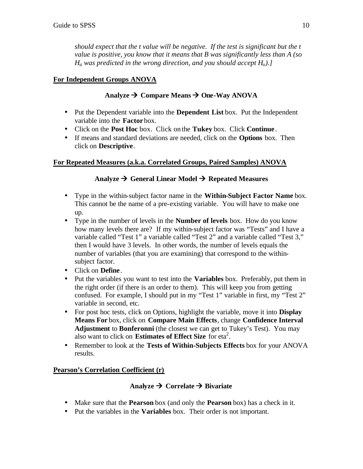*should expect that the t value will be negative. If the test is significant but the t value is positive, you know that it means that B was significantly less than A (so Ha was predicted in the wrong direction, and you should accept Ho).]* 

#### **For Independent Groups ANOVA**

#### **Analyze ‡ Compare Means ‡ One-Way ANOVA**

- Put the Dependent variable into the **Dependent List** box. Put the Independent variable into the **Factor** box.
- Click on the **Post Hoc** box. Click on the **Tukey** box. Click **Continue** .
- If means and standard deviations are needed, click on the **Options** box. Then click on **Descriptive**.

#### **For Repeated Measures (a.k.a. Correlated Groups, Paired Samples) ANOVA**

#### **Analyze ‡ General Linear Model ‡ Repeated Measures**

- Type in the within-subject factor name in the **Within-Subject Factor Name** box. This cannot be the name of a pre-existing variable. You will have to make one up.
- Type in the number of levels in the **Number of levels** box. How do you know how many levels there are? If my within-subject factor was "Tests" and I have a variable called "Test 1" a variable called "Test 2" and a variable called "Test 3," then I would have 3 levels. In other words, the number of levels equals the number of variables (that you are examining) that correspond to the withinsubject factor.
- Click on **Define**.
- Put the variables you want to test into the **Variables** box. Preferably, put them in the right order (if there is an order to them). This will keep you from getting confused. For example, I should put in my "Test 1" variable in first, my "Test 2" variable in second, etc.
- For post hoc tests, click on Options, highlight the variable, move it into **Display Means For** box, click on **Compare Main Effects**, change **Confidence Interval Adjustment** to **Bonferonni** (the closest we can get to Tukey's Test). You may also want to click on **Estimates of Effect Size** for eta<sup>2</sup>.
- Remember to look at the **Tests of Within-Subjects Effects** box for your ANOVA results.

#### **Pearson's Correlation Coefficient (r)**

#### **Analyze ‡ Correlate ‡ Bivariate**

- Make sure that the **Pearson** box (and only the **Pearson** box) has a check in it.
- Put the variables in the **Variables** box. Their order is not important.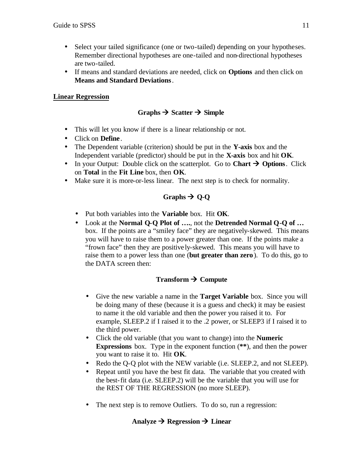- Select your tailed significance (one or two-tailed) depending on your hypotheses. Remember directional hypotheses are one-tailed and non-directional hypotheses are two-tailed.
- If means and standard deviations are needed, click on **Options** and then click on **Means and Standard Deviations**.

#### **Linear Regression**

#### **Graphs ‡ Scatter ‡ Simple**

- This will let you know if there is a linear relationship or not.
- Click on **Define**.
- The Dependent variable (criterion) should be put in the **Y-axis** box and the Independent variable (predictor) should be put in the **X-axis** box and hit **OK**.
- In your Output: Double click on the scatterplot. Go to **Chart**  $\rightarrow$  **Options**. Click on **Total** in the **Fit Line** box, then **OK**.
- Make sure it is more-or-less linear. The next step is to check for normality.

#### Graphs  $\rightarrow$  Q-Q

- Put both variables into the **Variable** box. Hit **OK**.
- Look at the **Normal Q-Q Plot of ….**, not the **Detrended Normal Q-Q of …** box. If the points are a "smiley face" they are negatively-skewed. This means you will have to raise them to a power greater than one. If the points make a "frown face" then they are positive ly-skewed. This means you will have to raise them to a power less than one (**but greater than zero**). To do this, go to the DATA screen then:

#### **Transform ‡ Compute**

- Give the new variable a name in the **Target Variable** box. Since you will be doing many of these (because it is a guess and check) it may be easiest to name it the old variable and then the power you raised it to. For example, SLEEP.2 if I raised it to the .2 power, or SLEEP3 if I raised it to the third power.
- Click the old variable (that you want to change) into the **Numeric Expressions** box. Type in the exponent function (**\*\***), and then the power you want to raise it to. Hit **OK**.
- Redo the Q-Q plot with the NEW variable (i.e. SLEEP.2, and not SLEEP).
- Repeat until you have the best fit data. The variable that you created with the best-fit data (i.e. SLEEP.2) will be the variable that you will use for the REST OF THE REGRESSION (no more SLEEP).
- The next step is to remove Outliers. To do so, run a regression:

#### **Analyze ‡ Regression ‡ Linear**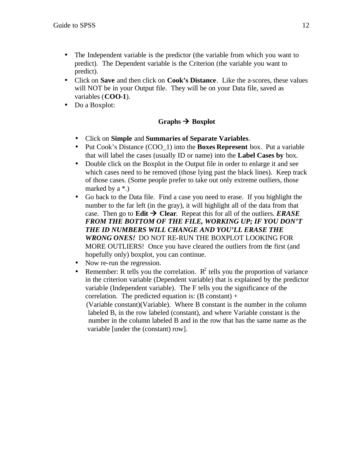- The Independent variable is the predictor (the variable from which you want to predict). The Dependent variable is the Criterion (the variable you want to predict).
- Click on **Save** and then click on **Cook's Distance**. Like the z-scores, these values will NOT be in your Output file. They will be on your Data file, saved as variables (**COO-1**).
- Do a Boxplot:

#### **Graphs ‡ Boxplot**

- Click on **Simple** and **Summaries of Separate Variables**.
- Put Cook's Distance (COO\_1) into the **Boxes Represent** box. Put a variable that will label the cases (usually ID or name) into the **Label Cases by** box.
- Double click on the Boxplot in the Output file in order to enlarge it and see which cases need to be removed (those lying past the black lines). Keep track of those cases. (Some people prefer to take out only extreme outliers, those marked by a \*.)
- Go back to the Data file. Find a case you need to erase. If you highlight the number to the far left (in the gray), it will highlight all of the data from that case. Then go to **Edit**  $\rightarrow$  **Clear**. Repeat this for all of the outliers. *ERASE FROM THE BOTTOM OF THE FILE, WORKING UP; IF YOU DON'T THE ID NUMBERS WILL CHANGE AND YOU'LL ERASE THE WRONG ONES!* DO NOT RE-RUN THE BOXPLOT LOOKING FOR MORE OUTLIERS! Once you have cleared the outliers from the first (and hopefully only) boxplot, you can continue.
- Now re-run the regression.
- Remember: R tells you the correlation.  $R^2$  tells you the proportion of variance in the criterion variable (Dependent variable) that is explained by the predictor variable (Independent variable). The F tells you the significance of the correlation. The predicted equation is:  $(B constant) +$  (Variable constant)(Variable). Where B constant is the number in the column labeled B, in the row labeled (constant), and where Variable constant is the number in the column labeled B and in the row that has the same name as the variable [under the (constant) row].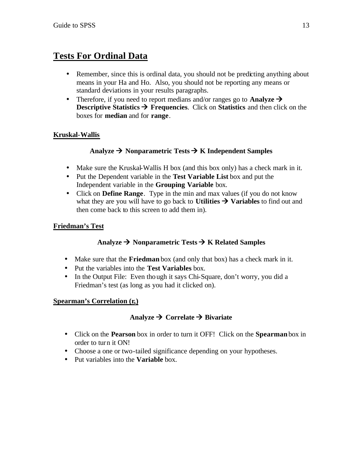## **Tests For Ordinal Data**

- Remember, since this is ordinal data, you should not be predicting anything about means in your Ha and Ho. Also, you should not be reporting any means or standard deviations in your results paragraphs.
- Therefore, if you need to report medians and/or ranges go to **Analyze**  $\rightarrow$ **Descriptive Statistics ‡ Frequencies**. Click on **Statistics** and then click on the boxes for **median** and for **range**.

#### **Kruskal-Wallis**

#### **Analyze ‡ Nonparametric Tests ‡ K Independent Samples**

- Make sure the Kruskal-Wallis H box (and this box only) has a check mark in it.
- Put the Dependent variable in the **Test Variable List** box and put the Independent variable in the **Grouping Variable** box.
- Click on **Define Range**. Type in the min and max values (if you do not know what they are you will have to go back to **Utilities**  $\rightarrow$  **Variables** to find out and then come back to this screen to add them in).

#### **Friedman's Test**

#### **Analyze ‡ Nonparametric Tests ‡ K Related Samples**

- Make sure that the **Friedman** box (and only that box) has a check mark in it.
- Put the variables into the **Test Variables** box.
- In the Output File: Even though it says Chi-Square, don't worry, you did a Friedman's test (as long as you had it clicked on).

#### **Spearman's Correlation (rs)**

#### Analyze  $\rightarrow$  Correlate  $\rightarrow$  Bivariate

- Click on the **Pearson** box in order to turn it OFF! Click on the **Spearman** box in order to turn it ON!
- Choose a one or two-tailed significance depending on your hypotheses.
- Put variables into the **Variable** box.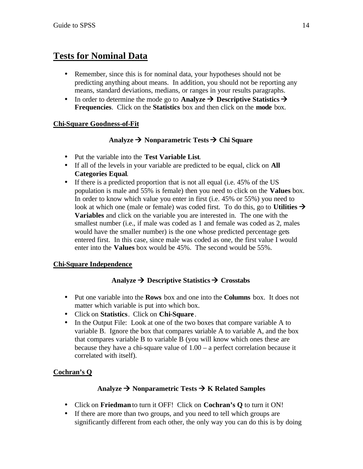## **Tests for Nominal Data**

- Remember, since this is for nominal data, your hypotheses should not be predicting anything about means. In addition, you should not be reporting any means, standard deviations, medians, or ranges in your results paragraphs.
- In order to determine the mode go to **Analyze**  $\rightarrow$  **Descriptive Statistics**  $\rightarrow$ **Frequencies**. Click on the **Statistics** box and then click on the **mode** box.

#### **Chi-Square Goodness-of-Fit**

#### **Analyze ‡ Nonparametric Tests ‡ Chi Square**

- Put the variable into the **Test Variable List**.
- If all of the levels in your variable are predicted to be equal, click on **All Categories Equal**.
- If there is a predicted proportion that is not all equal (i.e. 45% of the US population is male and 55% is female) then you need to click on the **Values** box. In order to know which value you enter in first (i.e. 45% or 55%) you need to look at which one (male or female) was coded first. To do this, go to **Utilities**  $\rightarrow$ **Variables** and click on the variable you are interested in. The one with the smallest number (i.e., if male was coded as 1 and female was coded as 2, males would have the smaller number) is the one whose predicted percentage gets entered first. In this case, since male was coded as one, the first value I would enter into the **Values** box would be 45%. The second would be 55%.

#### **Chi-Square Independence**

#### **Analyze ‡ Descriptive Statistics ‡ Crosstabs**

- Put one variable into the **Rows** box and one into the **Columns** box. It does not matter which variable is put into which box.
- Click on **Statistics**. Click on **Chi-Square** .
- In the Output File: Look at one of the two boxes that compare variable A to variable B. Ignore the box that compares variable A to variable A, and the box that compares variable B to variable B (you will know which ones these are because they have a chi-square value of 1.00 – a perfect correlation because it correlated with itself).

#### **Cochran's Q**

#### **Analyze ‡ Nonparametric Tests ‡ K Related Samples**

- Click on **Friedman** to turn it OFF! Click on **Cochran's Q** to turn it ON!
- If there are more than two groups, and you need to tell which groups are significantly different from each other, the only way you can do this is by doing